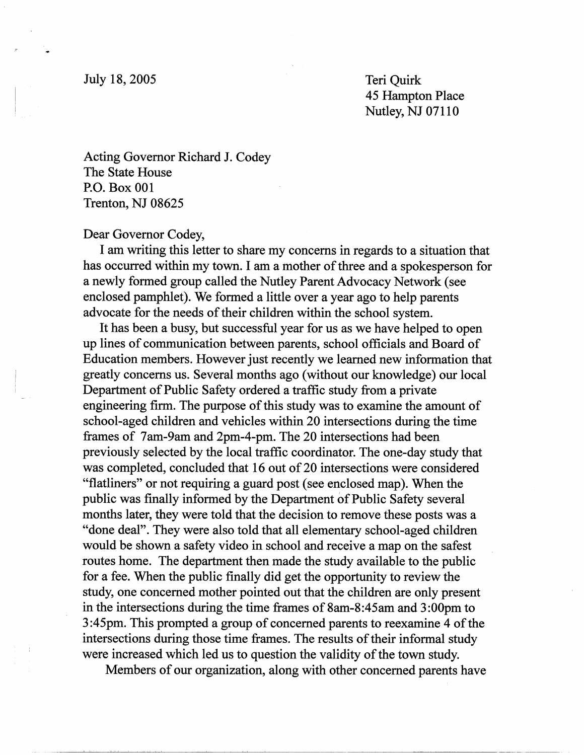Teri Quirk 45 Hampton Place Nutley, NJ 07110

Acting Governor Richard J. Codey The State House P.O. Box 001 Trenton, NJ 08625

## Dear Governor Codey,

I am writing this letter to share my concerns in regards to a situation that has occurred within my town. I am a mother of three and a spokesperson for a newly formed group called the Nutley Parent Advocacy Network (see enclosed pamphlet). We formed a little over a year ago to help parents advocate for the needs of their children within the school system.

It has been a busy, but successful year for us as we have helped to open up lines of communication between parents, school officials and Board of Education members. However just recently we learned new information that greatly concerns us. Several months ago (without our knowledge) our local Department of Public Safety ordered a traffic study from a private engineering firm. The purpose of this study was to examine the amount of school-aged children and vehicles within 20 intersections during the time frames of 7am-9am and 2pm-4-pm. The 20 intersections had been previously selected by the local traffic coordinator. The one-day study that was completed, concluded that 16 out of 20 intersections were considered "flatliners" or not requiring a guard post (see enclosed map). When the public was finally informed by the Department of Public Safety several months later, they were told that the decision to remove these posts was a "done deal". They were also told that all elementary school-aged children would be shown a safety video in school and receive a map on the safest routes home. The department then made the study available to the public for a fee. When the public finally did get the opportunity to review the study, one concerned mother pointed out that the children are only present in the intersections during the time frames of 8am-8:45am and 3:00pm to 3 :45pm. This prompted a group of concerned parents to reexamine 4 of the intersections during those time frames. The results of their informal study were increased which led us to question the validity of the town study.

Members of our organization, along with other concerned parents have